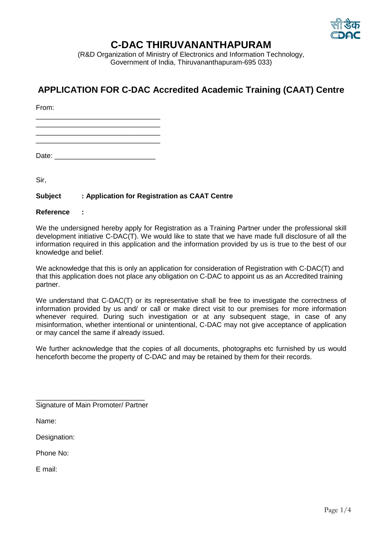

## **C-DAC THIRUVANANTHAPURAM**

(R&D Organization of Ministry of Electronics and Information Technology, Government of India, Thiruvananthapuram-695 033)

## **APPLICATION FOR C-DAC Accredited Academic Training (CAAT) Centre**

From:

\_\_\_\_\_\_\_\_\_\_\_\_\_\_\_\_\_\_\_\_\_\_\_\_\_\_\_\_\_\_\_\_

\_\_\_\_\_\_\_\_\_\_\_\_\_\_\_\_\_\_\_\_\_\_\_\_\_\_\_\_\_\_\_\_ \_\_\_\_\_\_\_\_\_\_\_\_\_\_\_\_\_\_\_\_\_\_\_\_\_\_\_\_\_\_\_\_

Date: \_\_\_\_\_\_\_\_\_\_\_\_\_\_\_\_\_\_\_\_\_\_\_\_\_\_

Sir,

## **Subject : Application for Registration as CAAT Centre**

**Reference :**

We the undersigned hereby apply for Registration as a Training Partner under the professional skill development initiative C-DAC(T). We would like to state that we have made full disclosure of all the information required in this application and the information provided by us is true to the best of our knowledge and belief.

We acknowledge that this is only an application for consideration of Registration with C-DAC(T) and that this application does not place any obligation on C-DAC to appoint us as an Accredited training partner.

We understand that C-DAC(T) or its representative shall be free to investigate the correctness of information provided by us and/ or call or make direct visit to our premises for more information whenever required. During such investigation or at any subsequent stage, in case of any misinformation, whether intentional or unintentional, C-DAC may not give acceptance of application or may cancel the same if already issued.

We further acknowledge that the copies of all documents, photographs etc furnished by us would henceforth become the property of C-DAC and may be retained by them for their records.

\_\_\_\_\_\_\_\_\_\_\_\_\_\_\_\_\_\_\_\_\_\_\_\_\_\_\_\_ Signature of Main Promoter/ Partner

Name:

Designation:

Phone No:

E mail: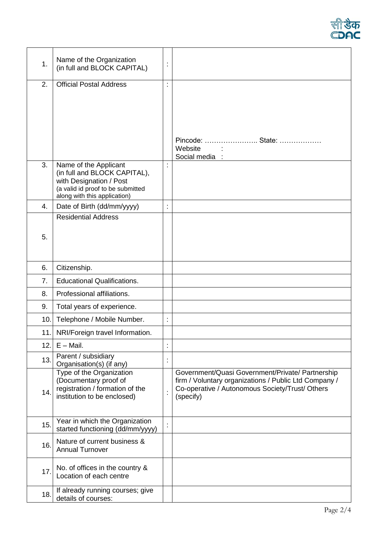

| 1.  | Name of the Organization<br>(in full and BLOCK CAPITAL)           | $\ddot{\cdot}$       |                                                                                                          |
|-----|-------------------------------------------------------------------|----------------------|----------------------------------------------------------------------------------------------------------|
| 2.  | <b>Official Postal Address</b>                                    | $\ddot{\phantom{a}}$ |                                                                                                          |
|     |                                                                   |                      |                                                                                                          |
|     |                                                                   |                      |                                                                                                          |
|     |                                                                   |                      |                                                                                                          |
|     |                                                                   |                      |                                                                                                          |
|     |                                                                   |                      | Pincode:  State:<br>Website                                                                              |
|     |                                                                   |                      | Social media :                                                                                           |
| 3.  | Name of the Applicant<br>(in full and BLOCK CAPITAL),             | $\ddot{\cdot}$       |                                                                                                          |
|     | with Designation / Post                                           |                      |                                                                                                          |
|     | (a valid id proof to be submitted<br>along with this application) |                      |                                                                                                          |
| 4.  | Date of Birth (dd/mm/yyyy)                                        | Ì                    |                                                                                                          |
|     | <b>Residential Address</b>                                        |                      |                                                                                                          |
| 5.  |                                                                   |                      |                                                                                                          |
|     |                                                                   |                      |                                                                                                          |
|     |                                                                   |                      |                                                                                                          |
| 6.  | Citizenship.                                                      |                      |                                                                                                          |
| 7.  | <b>Educational Qualifications.</b>                                |                      |                                                                                                          |
| 8.  | Professional affiliations.                                        |                      |                                                                                                          |
| 9.  | Total years of experience.                                        |                      |                                                                                                          |
| 10. | Telephone / Mobile Number.                                        | $\ddot{\phantom{a}}$ |                                                                                                          |
|     | 11. NRI/Foreign travel Information.                               |                      |                                                                                                          |
| 12. | $E -$ Mail.                                                       | $\ddot{\cdot}$       |                                                                                                          |
| 13. | Parent / subsidiary<br>Organisation(s) (if any)                   | t                    |                                                                                                          |
|     | Type of the Organization                                          |                      | Government/Quasi Government/Private/ Partnership                                                         |
|     | (Documentary proof of<br>registration / formation of the          |                      | firm / Voluntary organizations / Public Ltd Company /<br>Co-operative / Autonomous Society/Trust/ Others |
| 14. | institution to be enclosed)                                       | $\ddot{\phantom{a}}$ | (specify)                                                                                                |
|     |                                                                   |                      |                                                                                                          |
| 15. | Year in which the Organization                                    | $\ddot{\cdot}$       |                                                                                                          |
|     | started functioning (dd/mm/yyyy)                                  |                      |                                                                                                          |
| 16. | Nature of current business &<br><b>Annual Turnover</b>            |                      |                                                                                                          |
|     |                                                                   |                      |                                                                                                          |
| 17. | No. of offices in the country &<br>Location of each centre        |                      |                                                                                                          |
|     |                                                                   |                      |                                                                                                          |
| 18. | If already running courses; give<br>details of courses:           |                      |                                                                                                          |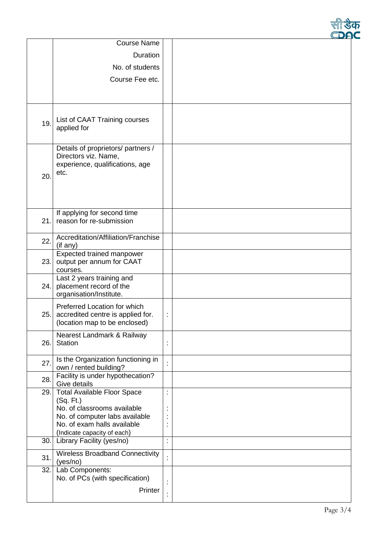|     | <b>Course Name</b>                                                                                    |                |  |
|-----|-------------------------------------------------------------------------------------------------------|----------------|--|
|     | Duration                                                                                              |                |  |
|     | No. of students                                                                                       |                |  |
|     | Course Fee etc.                                                                                       |                |  |
|     |                                                                                                       |                |  |
|     |                                                                                                       |                |  |
| 19. | List of CAAT Training courses<br>applied for                                                          |                |  |
| 20. | Details of proprietors/ partners /<br>Directors viz. Name,<br>experience, qualifications, age<br>etc. |                |  |
| 21. | If applying for second time<br>reason for re-submission                                               |                |  |
| 22. | Accreditation/Affiliation/Franchise<br>(if any)                                                       |                |  |
| 23. | Expected trained manpower<br>output per annum for CAAT<br>courses.                                    |                |  |
| 24. | Last 2 years training and<br>placement record of the<br>organisation/Institute.                       |                |  |
| 25. | Preferred Location for which<br>accredited centre is applied for.<br>(location map to be enclosed)    | $\ddot{\cdot}$ |  |
| 26. | Nearest Landmark & Railway<br>Station                                                                 | İ              |  |
| 27. | Is the Organization functioning in<br>own / rented building?                                          |                |  |
| 28. | Facility is under hypothecation?<br>Give details                                                      |                |  |
| 29. | <b>Total Available Floor Space</b>                                                                    | Ì              |  |
|     | (Sq. Ft.)<br>No. of classrooms available                                                              |                |  |
|     | No. of computer labs available                                                                        |                |  |
|     | No. of exam halls available                                                                           |                |  |
| 30. | (Indicate capacity of each)                                                                           | $\cdot$        |  |
|     | Library Facility (yes/no)                                                                             |                |  |
| 31. | <b>Wireless Broadband Connectivity</b><br>(yes/no)                                                    |                |  |
| 32. | Lab Components:<br>No. of PCs (with specification)                                                    |                |  |
|     | Printer                                                                                               |                |  |
|     |                                                                                                       |                |  |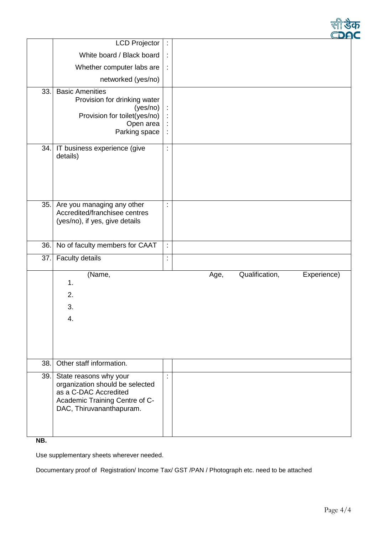|     | <b>LCD Projector</b>                                                                                                                                 | $\ddot{\phantom{a}}$                                     |                                       |
|-----|------------------------------------------------------------------------------------------------------------------------------------------------------|----------------------------------------------------------|---------------------------------------|
|     | White board / Black board                                                                                                                            | ÷                                                        |                                       |
|     | Whether computer labs are                                                                                                                            | ÷                                                        |                                       |
|     | networked (yes/no)                                                                                                                                   |                                                          |                                       |
| 33. | <b>Basic Amenities</b><br>Provision for drinking water<br>(yes/no)<br>Provision for toilet(yes/no)<br>Open area<br>Parking space                     | $\ddot{\cdot}$<br>İ,<br>$\ddot{\cdot}$<br>$\ddot{\cdot}$ |                                       |
| 34. | IT business experience (give<br>details)                                                                                                             | $\ddot{\phantom{a}}$                                     |                                       |
| 35. | Are you managing any other<br>Accredited/franchisee centres<br>(yes/no), if yes, give details                                                        | $\ddot{\phantom{a}}$                                     |                                       |
| 36. | No of faculty members for CAAT                                                                                                                       | $\ddot{\phantom{a}}$                                     |                                       |
| 37. | <b>Faculty details</b>                                                                                                                               | $\ddot{\cdot}$                                           |                                       |
|     | (Name,<br>1.<br>2.<br>3.<br>4.                                                                                                                       |                                                          | Qualification,<br>Experience)<br>Age, |
| 38. | Other staff information.                                                                                                                             |                                                          |                                       |
|     | 39. State reasons why your<br>organization should be selected<br>as a C-DAC Accredited<br>Academic Training Centre of C-<br>DAC, Thiruvananthapuram. | $\cdot$<br>$\bullet$                                     |                                       |

**NB.** 

Use supplementary sheets wherever needed.

Documentary proof of Registration/ Income Tax/ GST /PAN / Photograph etc. need to be attached